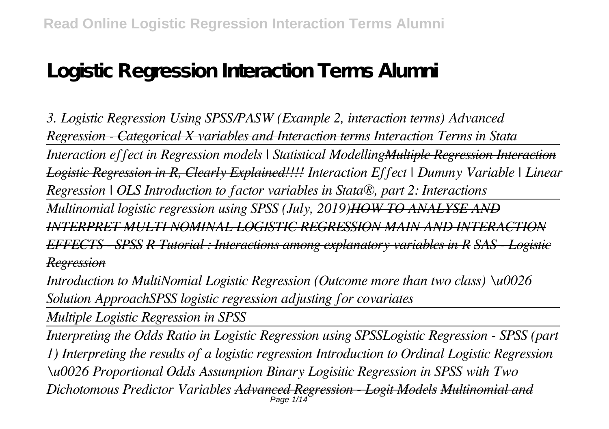# **Logistic Regression Interaction Terms Alumni**

*3. Logistic Regression Using SPSS/PASW (Example 2, interaction terms) Advanced Regression - Categorical X variables and Interaction terms Interaction Terms in Stata Interaction effect in Regression models | Statistical ModellingMultiple Regression Interaction Logistic Regression in R, Clearly Explained!!!! Interaction Effect | Dummy Variable | Linear Regression | OLS Introduction to factor variables in Stata®, part 2: Interactions Multinomial logistic regression using SPSS (July, 2019)HOW TO ANALYSE AND INTERPRET MULTI NOMINAL LOGISTIC REGRESSION MAIN AND INTERACTION EFFECTS - SPSS R Tutorial : Interactions among explanatory variables in R SAS - Logistic Regression*

*Introduction to MultiNomial Logistic Regression (Outcome more than two class) \u0026 Solution ApproachSPSS logistic regression adjusting for covariates*

*Multiple Logistic Regression in SPSS*

*Interpreting the Odds Ratio in Logistic Regression using SPSSLogistic Regression - SPSS (part 1) Interpreting the results of a logistic regression Introduction to Ordinal Logistic Regression \u0026 Proportional Odds Assumption Binary Logisitic Regression in SPSS with Two Dichotomous Predictor Variables Advanced Regression - Logit Models Multinomial and* Page 1/14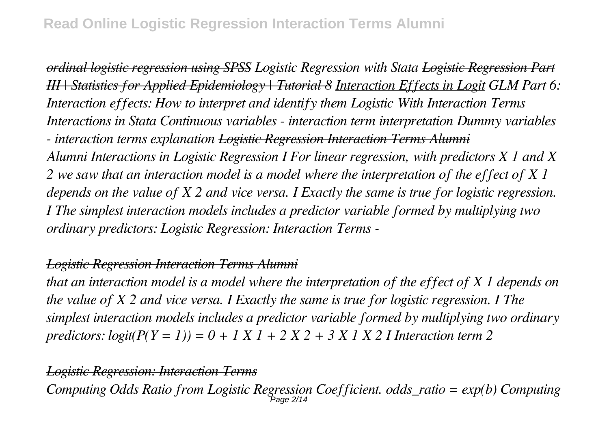*ordinal logistic regression using SPSS Logistic Regression with Stata Logistic Regression Part III | Statistics for Applied Epidemiology | Tutorial 8 Interaction Effects in Logit GLM Part 6: Interaction effects: How to interpret and identify them Logistic With Interaction Terms Interactions in Stata Continuous variables - interaction term interpretation Dummy variables - interaction terms explanation Logistic Regression Interaction Terms Alumni Alumni Interactions in Logistic Regression I For linear regression, with predictors X 1 and X 2 we saw that an interaction model is a model where the interpretation of the effect of X 1 depends on the value of X 2 and vice versa. I Exactly the same is true for logistic regression. I The simplest interaction models includes a predictor variable formed by multiplying two ordinary predictors: Logistic Regression: Interaction Terms -*

# *Logistic Regression Interaction Terms Alumni*

*that an interaction model is a model where the interpretation of the effect of X 1 depends on the value of X 2 and vice versa. I Exactly the same is true for logistic regression. I The simplest interaction models includes a predictor variable formed by multiplying two ordinary predictors: logit(P(Y = 1)) = 0 + 1 X 1 + 2 X 2 + 3 X 1 X 2 I Interaction term 2* 

#### *Logistic Regression: Interaction Terms*

*Computing Odds Ratio from Logistic Regression Coefficient. odds\_ratio = exp(b) Computing* Page 2/14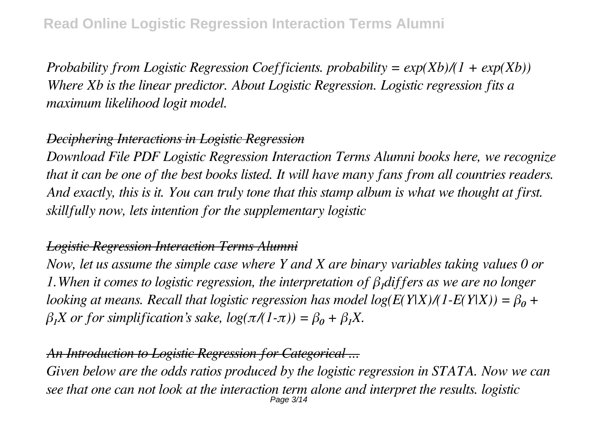*Probability from Logistic Regression Coefficients. probability = exp(Xb)/(1 + exp(Xb)) Where Xb is the linear predictor. About Logistic Regression. Logistic regression fits a maximum likelihood logit model.*

# *Deciphering Interactions in Logistic Regression*

*Download File PDF Logistic Regression Interaction Terms Alumni books here, we recognize that it can be one of the best books listed. It will have many fans from all countries readers. And exactly, this is it. You can truly tone that this stamp album is what we thought at first. skillfully now, lets intention for the supplementary logistic*

#### *Logistic Regression Interaction Terms Alumni*

*Now, let us assume the simple case where Y and X are binary variables taking values 0 or 1.When it comes to logistic regression, the interpretation of β₁differs as we are no longer looking at means. Recall that logistic regression has model log(E(Y|X)/(1-E(Y|X)) =*  $\beta_0$  *+*  $β<sub>1</sub>X$  or for simplification's sake,  $log(π/(1-π)) = β<sub>0</sub> + β<sub>1</sub>X$ .

#### *An Introduction to Logistic Regression for Categorical ...*

*Given below are the odds ratios produced by the logistic regression in STATA. Now we can see that one can not look at the interaction term alone and interpret the results. logistic* Page 3/14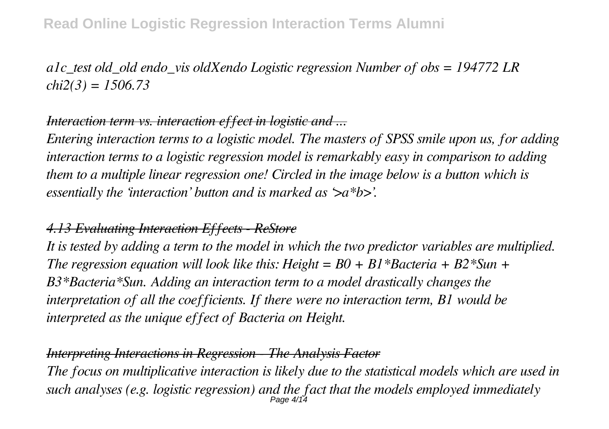# **Read Online Logistic Regression Interaction Terms Alumni**

*a1c\_test old\_old endo\_vis oldXendo Logistic regression Number of obs = 194772 LR chi2(3) = 1506.73*

#### *Interaction term vs. interaction effect in logistic and ...*

*Entering interaction terms to a logistic model. The masters of SPSS smile upon us, for adding interaction terms to a logistic regression model is remarkably easy in comparison to adding them to a multiple linear regression one! Circled in the image below is a button which is essentially the 'interaction' button and is marked as '>a\*b>'.*

# *4.13 Evaluating Interaction Effects - ReStore*

*It is tested by adding a term to the model in which the two predictor variables are multiplied. The regression equation will look like this: Height = B0 + B1\*Bacteria + B2\*Sun + B3\*Bacteria\*Sun. Adding an interaction term to a model drastically changes the interpretation of all the coefficients. If there were no interaction term, B1 would be interpreted as the unique effect of Bacteria on Height.*

#### *Interpreting Interactions in Regression - The Analysis Factor*

*The focus on multiplicative interaction is likely due to the statistical models which are used in such analyses (e.g. logistic regression) and the fact that the models employed immediately* Page 4/14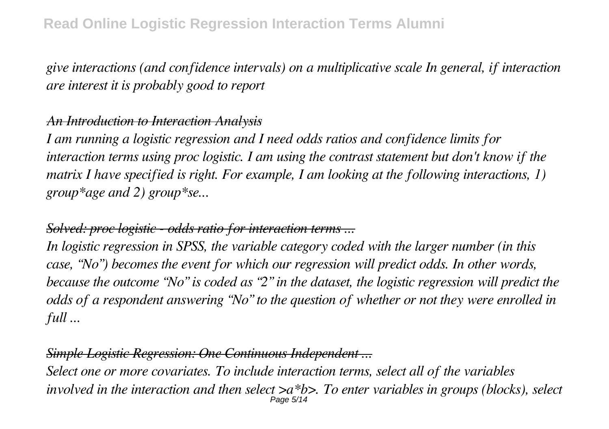*give interactions (and confidence intervals) on a multiplicative scale In general, if interaction are interest it is probably good to report*

# *An Introduction to Interaction Analysis*

*I am running a logistic regression and I need odds ratios and confidence limits for interaction terms using proc logistic. I am using the contrast statement but don't know if the matrix I have specified is right. For example, I am looking at the following interactions, 1) group\*age and 2) group\*se...*

# *Solved: proc logistic - odds ratio for interaction terms ...*

*In logistic regression in SPSS, the variable category coded with the larger number (in this case, "No") becomes the event for which our regression will predict odds. In other words, because the outcome "No" is coded as "2" in the dataset, the logistic regression will predict the odds of a respondent answering "No" to the question of whether or not they were enrolled in full ...*

# *Simple Logistic Regression: One Continuous Independent ...*

*Select one or more covariates. To include interaction terms, select all of the variables involved in the interaction and then select >a\*b>. To enter variables in groups (blocks), select* Page 5/14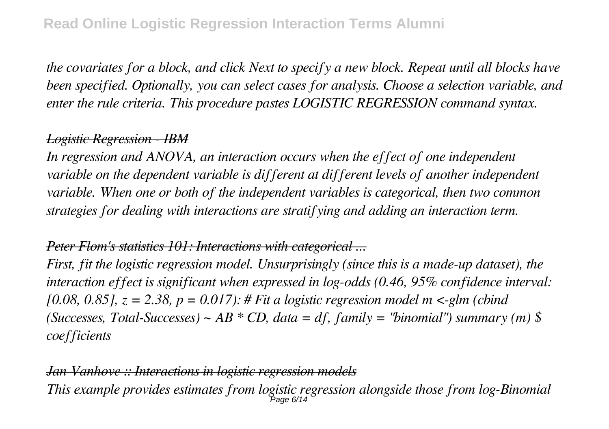*the covariates for a block, and click Next to specify a new block. Repeat until all blocks have been specified. Optionally, you can select cases for analysis. Choose a selection variable, and enter the rule criteria. This procedure pastes LOGISTIC REGRESSION command syntax.*

# *Logistic Regression - IBM*

*In regression and ANOVA, an interaction occurs when the effect of one independent variable on the dependent variable is different at different levels of another independent variable. When one or both of the independent variables is categorical, then two common strategies for dealing with interactions are stratifying and adding an interaction term.*

# *Peter Flom's statistics 101: Interactions with categorical ...*

*First, fit the logistic regression model. Unsurprisingly (since this is a made-up dataset), the interaction effect is significant when expressed in log-odds (0.46, 95% confidence interval: [0.08, 0.85], z = 2.38, p = 0.017): # Fit a logistic regression model m <-glm (cbind (Successes, Total-Successes) ~ AB \* CD, data = df, family = "binomial") summary (m) \$ coefficients*

*Jan Vanhove :: Interactions in logistic regression models This example provides estimates from logistic regression alongside those from log-Binomial*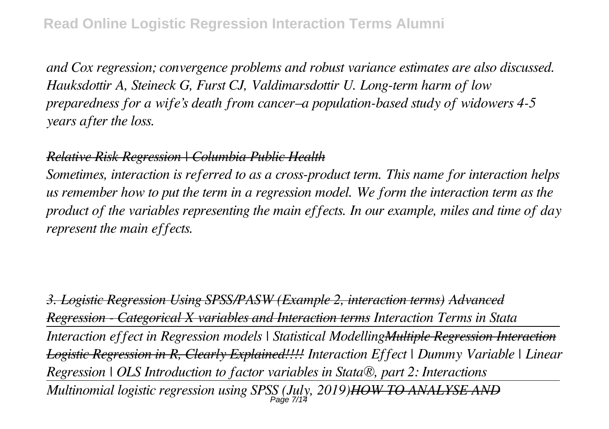*and Cox regression; convergence problems and robust variance estimates are also discussed. Hauksdottir A, Steineck G, Furst CJ, Valdimarsdottir U. Long-term harm of low preparedness for a wife's death from cancer–a population-based study of widowers 4-5 years after the loss.*

#### *Relative Risk Regression | Columbia Public Health*

*Sometimes, interaction is referred to as a cross-product term. This name for interaction helps us remember how to put the term in a regression model. We form the interaction term as the product of the variables representing the main effects. In our example, miles and time of day represent the main effects.*

*3. Logistic Regression Using SPSS/PASW (Example 2, interaction terms) Advanced Regression - Categorical X variables and Interaction terms Interaction Terms in Stata Interaction effect in Regression models | Statistical ModellingMultiple Regression Interaction Logistic Regression in R, Clearly Explained!!!! Interaction Effect | Dummy Variable | Linear Regression | OLS Introduction to factor variables in Stata®, part 2: Interactions Multinomial logistic regression using SPSS (July, 2019)HOW TO ANALYSE AND* Page 7/14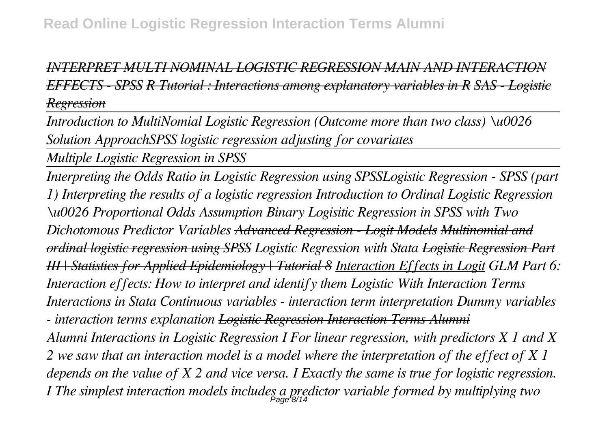# *INTERPRET MULTI NOMINAL LOGISTIC REGRESSION MAIN AND INTERACTION EFFECTS - SPSS R Tutorial : Interactions among explanatory variables in R SAS - Logistic Regression*

*Introduction to MultiNomial Logistic Regression (Outcome more than two class) \u0026 Solution ApproachSPSS logistic regression adjusting for covariates*

*Multiple Logistic Regression in SPSS*

*Interpreting the Odds Ratio in Logistic Regression using SPSSLogistic Regression - SPSS (part 1) Interpreting the results of a logistic regression Introduction to Ordinal Logistic Regression \u0026 Proportional Odds Assumption Binary Logisitic Regression in SPSS with Two Dichotomous Predictor Variables Advanced Regression - Logit Models Multinomial and ordinal logistic regression using SPSS Logistic Regression with Stata Logistic Regression Part III | Statistics for Applied Epidemiology | Tutorial 8 Interaction Effects in Logit GLM Part 6: Interaction effects: How to interpret and identify them Logistic With Interaction Terms Interactions in Stata Continuous variables - interaction term interpretation Dummy variables - interaction terms explanation Logistic Regression Interaction Terms Alumni Alumni Interactions in Logistic Regression I For linear regression, with predictors X 1 and X 2 we saw that an interaction model is a model where the interpretation of the effect of X 1 depends on the value of X 2 and vice versa. I Exactly the same is true for logistic regression. I The simplest interaction models includes a predictor variable formed by multiplying two* Page 8/14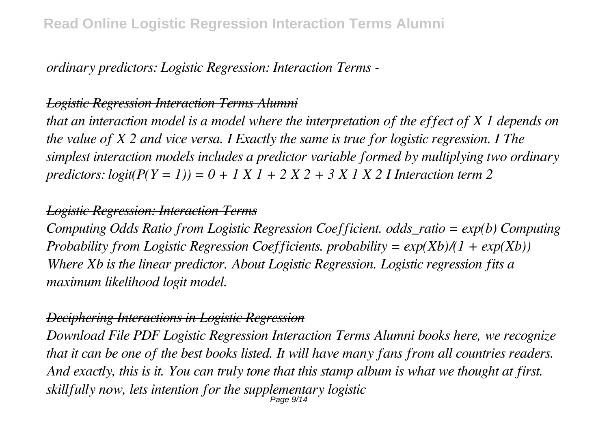*ordinary predictors: Logistic Regression: Interaction Terms -*

# *Logistic Regression Interaction Terms Alumni*

*that an interaction model is a model where the interpretation of the effect of X 1 depends on the value of X 2 and vice versa. I Exactly the same is true for logistic regression. I The simplest interaction models includes a predictor variable formed by multiplying two ordinary predictors: logit(P(Y = 1)) = 0 + 1 X 1 + 2 X 2 + 3 X 1 X 2 I Interaction term 2* 

#### *Logistic Regression: Interaction Terms*

*Computing Odds Ratio from Logistic Regression Coefficient. odds\_ratio = exp(b) Computing Probability from Logistic Regression Coefficients. probability = exp(Xb)/(1 + exp(Xb)) Where Xb is the linear predictor. About Logistic Regression. Logistic regression fits a maximum likelihood logit model.*

#### *Deciphering Interactions in Logistic Regression*

*Download File PDF Logistic Regression Interaction Terms Alumni books here, we recognize that it can be one of the best books listed. It will have many fans from all countries readers. And exactly, this is it. You can truly tone that this stamp album is what we thought at first. skillfully now, lets intention for the supplementary logistic* Page 9/14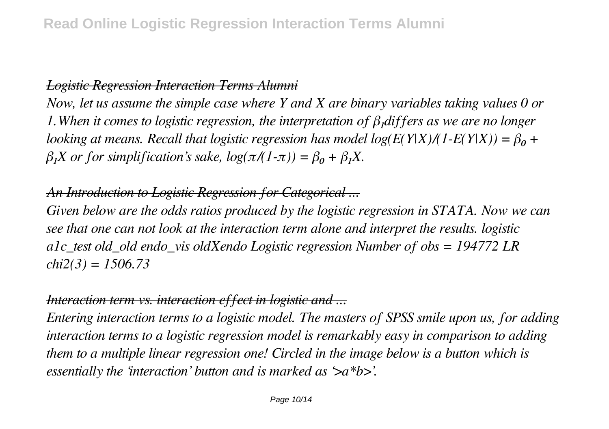# *Logistic Regression Interaction Terms Alumni*

*Now, let us assume the simple case where Y and X are binary variables taking values 0 or 1.When it comes to logistic regression, the interpretation of β₁differs as we are no longer looking at means. Recall that logistic regression has model log(E(Y|X)/(1-E(Y|X)) =*  $\beta_0$  *+*  $β<sub>1</sub>X$  or for simplification's sake,  $log(π/(1-π)) = β<sub>0</sub> + β<sub>1</sub>X$ .

# *An Introduction to Logistic Regression for Categorical ...*

*Given below are the odds ratios produced by the logistic regression in STATA. Now we can see that one can not look at the interaction term alone and interpret the results. logistic a1c\_test old\_old endo\_vis oldXendo Logistic regression Number of obs = 194772 LR chi2(3) = 1506.73*

# *Interaction term vs. interaction effect in logistic and ...*

*Entering interaction terms to a logistic model. The masters of SPSS smile upon us, for adding interaction terms to a logistic regression model is remarkably easy in comparison to adding them to a multiple linear regression one! Circled in the image below is a button which is essentially the 'interaction' button and is marked as '>a\*b>'.*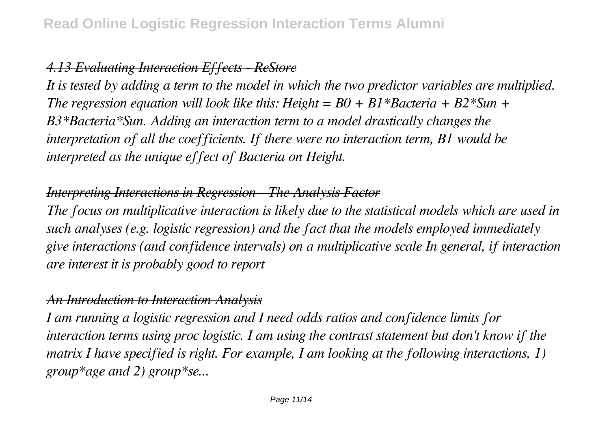# *4.13 Evaluating Interaction Effects - ReStore*

*It is tested by adding a term to the model in which the two predictor variables are multiplied. The regression equation will look like this: Height = B0 + B1\*Bacteria + B2\*Sun + B3\*Bacteria\*Sun. Adding an interaction term to a model drastically changes the interpretation of all the coefficients. If there were no interaction term, B1 would be interpreted as the unique effect of Bacteria on Height.*

# *Interpreting Interactions in Regression - The Analysis Factor*

*The focus on multiplicative interaction is likely due to the statistical models which are used in such analyses (e.g. logistic regression) and the fact that the models employed immediately give interactions (and confidence intervals) on a multiplicative scale In general, if interaction are interest it is probably good to report*

#### *An Introduction to Interaction Analysis*

*I am running a logistic regression and I need odds ratios and confidence limits for interaction terms using proc logistic. I am using the contrast statement but don't know if the matrix I have specified is right. For example, I am looking at the following interactions, 1) group\*age and 2) group\*se...*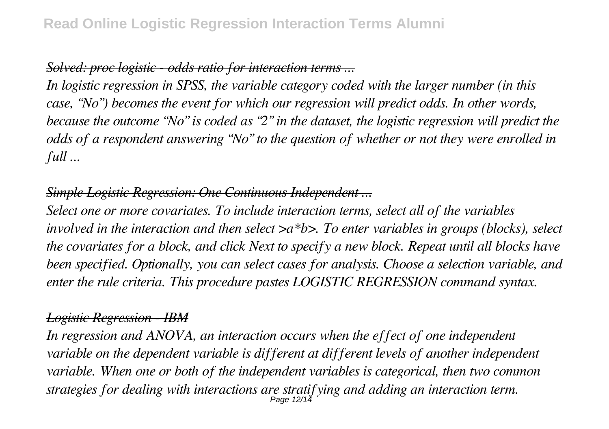# *Solved: proc logistic - odds ratio for interaction terms ...*

*In logistic regression in SPSS, the variable category coded with the larger number (in this case, "No") becomes the event for which our regression will predict odds. In other words, because the outcome "No" is coded as "2" in the dataset, the logistic regression will predict the odds of a respondent answering "No" to the question of whether or not they were enrolled in full ...*

# *Simple Logistic Regression: One Continuous Independent ...*

*Select one or more covariates. To include interaction terms, select all of the variables involved in the interaction and then select >a\*b>. To enter variables in groups (blocks), select the covariates for a block, and click Next to specify a new block. Repeat until all blocks have been specified. Optionally, you can select cases for analysis. Choose a selection variable, and enter the rule criteria. This procedure pastes LOGISTIC REGRESSION command syntax.*

#### *Logistic Regression - IBM*

*In regression and ANOVA, an interaction occurs when the effect of one independent variable on the dependent variable is different at different levels of another independent variable. When one or both of the independent variables is categorical, then two common strategies for dealing with interactions are stratifying and adding an interaction term.* Page 12/14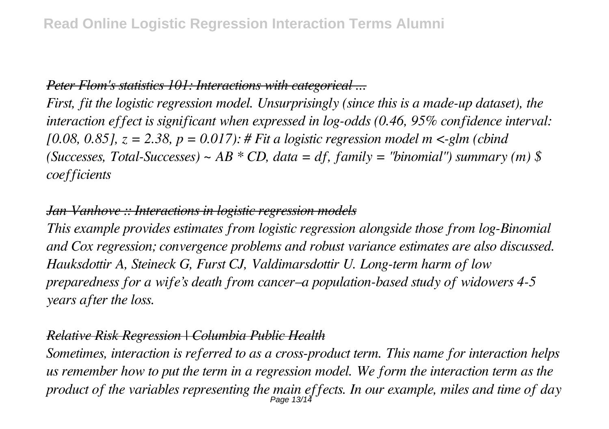# *Peter Flom's statistics 101: Interactions with categorical ...*

*First, fit the logistic regression model. Unsurprisingly (since this is a made-up dataset), the interaction effect is significant when expressed in log-odds (0.46, 95% confidence interval: [0.08, 0.85], z = 2.38, p = 0.017): # Fit a logistic regression model m <-glm (cbind (Successes, Total-Successes) ~ AB \* CD, data = df, family = "binomial") summary (m) \$ coefficients*

#### *Jan Vanhove :: Interactions in logistic regression models*

*This example provides estimates from logistic regression alongside those from log-Binomial and Cox regression; convergence problems and robust variance estimates are also discussed. Hauksdottir A, Steineck G, Furst CJ, Valdimarsdottir U. Long-term harm of low preparedness for a wife's death from cancer–a population-based study of widowers 4-5 years after the loss.*

#### *Relative Risk Regression | Columbia Public Health*

*Sometimes, interaction is referred to as a cross-product term. This name for interaction helps us remember how to put the term in a regression model. We form the interaction term as the product of the variables representing the main effects. In our example, miles and time of day* Page 13/14